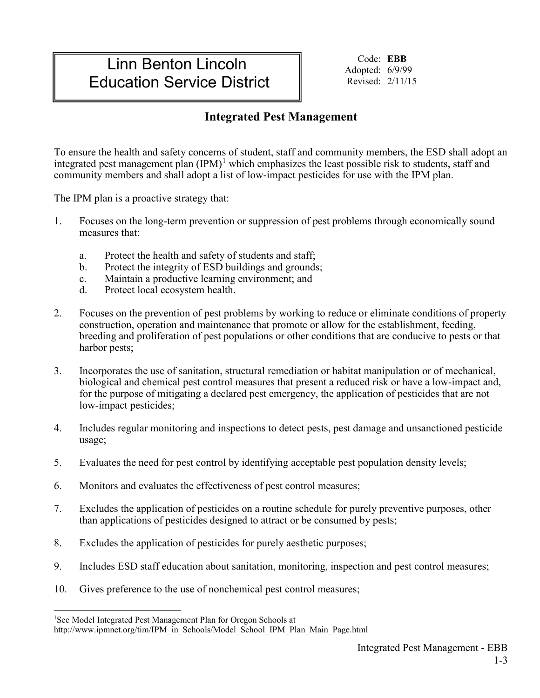# Linn Benton Lincoln Education Service District

Code: **EBB** Adopted: 6/9/99 Revised: 2/11/15

## **Integrated Pest Management**

To ensure the health and safety concerns of student, staff and community members, the ESD shall adopt an integrated pest management plan  $(IPM)^1$  $(IPM)^1$  which emphasizes the least possible risk to students, staff and community members and shall adopt a list of low-impact pesticides for use with the IPM plan.

The IPM plan is a proactive strategy that:

- 1. Focuses on the long-term prevention or suppression of pest problems through economically sound measures that:
	- a. Protect the health and safety of students and staff;
	- b. Protect the integrity of ESD buildings and grounds;
	- c. Maintain a productive learning environment; and
	- d. Protect local ecosystem health.
- 2. Focuses on the prevention of pest problems by working to reduce or eliminate conditions of property construction, operation and maintenance that promote or allow for the establishment, feeding, breeding and proliferation of pest populations or other conditions that are conducive to pests or that harbor pests;
- 3. Incorporates the use of sanitation, structural remediation or habitat manipulation or of mechanical, biological and chemical pest control measures that present a reduced risk or have a low-impact and, for the purpose of mitigating a declared pest emergency, the application of pesticides that are not low-impact pesticides;
- 4. Includes regular monitoring and inspections to detect pests, pest damage and unsanctioned pesticide usage;
- 5. Evaluates the need for pest control by identifying acceptable pest population density levels;
- 6. Monitors and evaluates the effectiveness of pest control measures;
- 7. Excludes the application of pesticides on a routine schedule for purely preventive purposes, other than applications of pesticides designed to attract or be consumed by pests;
- 8. Excludes the application of pesticides for purely aesthetic purposes;
- 9. Includes ESD staff education about sanitation, monitoring, inspection and pest control measures;
- 10. Gives preference to the use of nonchemical pest control measures;

<sup>|&</sup>lt;br>|<br>1 <sup>1</sup>See Model Integrated Pest Management Plan for Oregon Schools at

<span id="page-0-0"></span>http://www.ipmnet.org/tim/IPM\_in\_Schools/Model\_School\_IPM\_Plan\_Main\_Page.html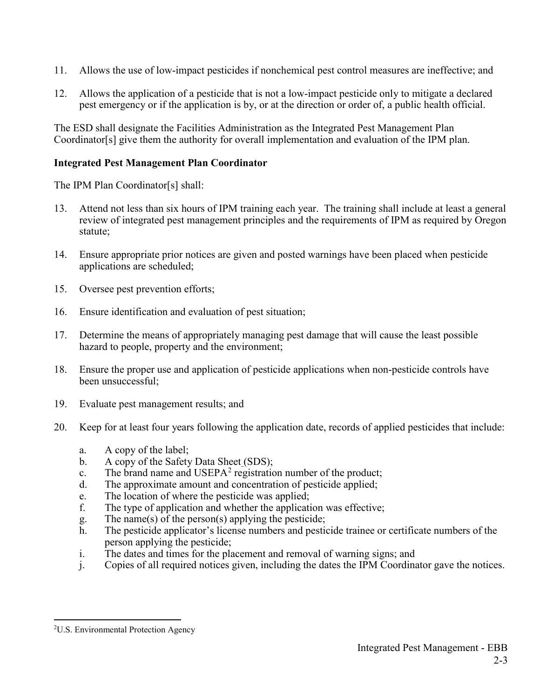- 11. Allows the use of low-impact pesticides if nonchemical pest control measures are ineffective; and
- 12. Allows the application of a pesticide that is not a low-impact pesticide only to mitigate a declared pest emergency or if the application is by, or at the direction or order of, a public health official.

The ESD shall designate the Facilities Administration as the Integrated Pest Management Plan Coordinator[s] give them the authority for overall implementation and evaluation of the IPM plan.

### **Integrated Pest Management Plan Coordinator**

The IPM Plan Coordinator[s] shall:

- 13. Attend not less than six hours of IPM training each year. The training shall include at least a general review of integrated pest management principles and the requirements of IPM as required by Oregon statute;
- 14. Ensure appropriate prior notices are given and posted warnings have been placed when pesticide applications are scheduled;
- 15. Oversee pest prevention efforts;
- 16. Ensure identification and evaluation of pest situation;
- 17. Determine the means of appropriately managing pest damage that will cause the least possible hazard to people, property and the environment;
- 18. Ensure the proper use and application of pesticide applications when non-pesticide controls have been unsuccessful;
- 19. Evaluate pest management results; and
- 20. Keep for at least four years following the application date, records of applied pesticides that include:
	- a. A copy of the label;
	- b. A copy of the Safety Data Sheet (SDS);
	- c. The brand name and  $\text{USEPA}^2$  $\text{USEPA}^2$  registration number of the product;
	- d. The approximate amount and concentration of pesticide applied;
	- e. The location of where the pesticide was applied;
	- f. The type of application and whether the application was effective;
	- g. The name(s) of the person(s) applying the pesticide;
	- h. The pesticide applicator's license numbers and pesticide trainee or certificate numbers of the person applying the pesticide;
	- i. The dates and times for the placement and removal of warning signs; and
	- j. Copies of all required notices given, including the dates the IPM Coordinator gave the notices.

<span id="page-1-0"></span> $\frac{1}{2}$ <sup>2</sup>U.S. Environmental Protection Agency